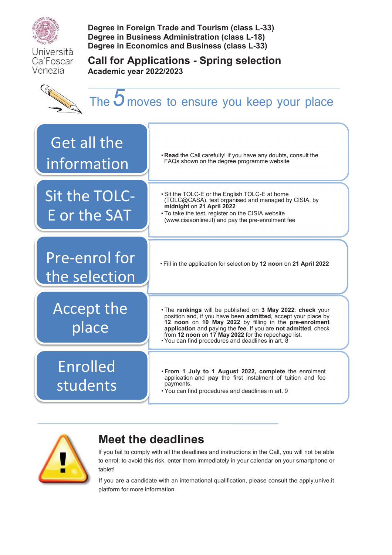

Università Ca'Foscari Venezia

**Degree in Foreign Trade and Tourism (class L-33) Degree in Business Administration (class L-18) Degree in Economics and Business (class L-33)** 

**Academic year 2022/2023** 

**Call for Applications - Spring selection** 

G

# The **5** moves to ensure you keep your place





## **Meet the deadlines**

If you fail to comply with all the deadlines and instructions in the Call, you will not be able to enrol: to avoid this risk, enter them immediately in your calendar on your smartphone or tablet!

If you are a candidate with an international qualification, please consult the apply.unive.it platform for more information.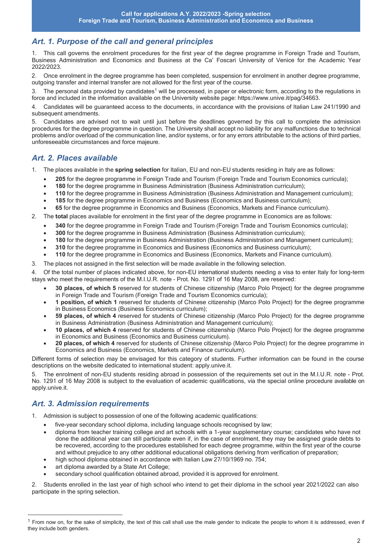## *Art. 1. Purpose of the call and general principles*

1. This call governs the enrolment procedures for the first year of the degree programme in Foreign Trade and Tourism, Business Administration and Economics and Business at the Ca' Foscari University of Venice for the Academic Year 2022/2023.

2. Once enrolment in the degree programme has been completed, suspension for enrolment in another degree programme, outgoing transfer and internal transfer are not allowed for the first year of the course.

3. The personal data provided by candidates<sup>1</sup> will be processed, in paper or electronic form, according to the regulations in force and included in the information available on the University website page: https://www.unive.it/pag/34663.

4. Candidates will be guaranteed access to the documents, in accordance with the provisions of Italian Law 241/1990 and subsequent amendments.

5. Candidates are advised not to wait until just before the deadlines governed by this call to complete the admission procedures for the degree programme in question. The University shall accept no liability for any malfunctions due to technical problems and/or overload of the communication line, and/or systems, or for any errors attributable to the actions of third parties, unforeseeable circumstances and force majeure.

## *Art. 2. Places available*

- 1. The places available in the **spring selection** for Italian, EU and non-EU students residing in Italy are as follows:
	- · **205** for the degree programme in Foreign Trade and Tourism (Foreign Trade and Tourism Economics curricula);
		- · **180** for the degree programme in Business Administration (Business Administration curriculum);
		- · **110** for the degree programme in Business Administration (Business Administration and Management curriculum);
		- · **185** for the degree programme in Economics and Business (Economics and Business curriculum);
	- · **65** for the degree programme in Economics and Business (Economics, Markets and Finance curriculum).
- 2. The **total** places available for enrolment in the first year of the degree programme in Economics are as follows:
	- · **340** for the degree programme in Foreign Trade and Tourism (Foreign Trade and Tourism Economics curricula);
	- · **300** for the degree programme in Business Administration (Business Administration curriculum);
	- · **180** for the degree programme in Business Administration (Business Administration and Management curriculum);
	- · **310** for the degree programme in Economics and Business (Economics and Business curriculum);
	- · **110** for the degree programme in Economics and Business (Economics, Markets and Finance curriculum).
- 3. The places not assigned in the first selection will be made available in the following selection.

4. Of the total number of places indicated above, for non-EU international students needing a visa to enter Italy for long-term stays who meet the requirements of the M.I.U.R. note – Prot. No. 1291 of 16 May 2008, are reserved:

- · **30 places, of which 5** reserved for students of Chinese citizenship (Marco Polo Project) for the degree programme in Foreign Trade and Tourism (Foreign Trade and Tourism Economics curricula);
- · **1 position, of which 1** reserved for students of Chinese citizenship (Marco Polo Project) for the degree programme in Business Economics (Business Economics curriculum);
- · **59 places, of which 4** reserved for students of Chinese citizenship (Marco Polo Project) for the degree programme in Business Administration (Business Administration and Management curriculum);
- · **10 places, of which 4** reserved for students of Chinese citizenship (Marco Polo Project) for the degree programme in Economics and Business (Economics and Business curriculum).
- · **20 places, of which 4** reserved for students of Chinese citizenship (Marco Polo Project) for the degree programme in Economics and Business (Economics, Markets and Finance curriculum).

Different forms of selection may be envisaged for this category of students. Further information can be found in the course descriptions on the website dedicated to international student: apply.unive.it.

5. The enrolment of non-EU students residing abroad in possession of the requirements set out in the M.I.U.R. note - Prot. No. 1291 of 16 May 2008 is subject to the evaluation of academic qualifications, via the special online procedure available on apply.unive.it.

## *Art. 3. Admission requirements*

 $\overline{a}$ 

1. Admission is subject to possession of one of the following academic qualifications:

- five-year secondary school diploma, including language schools recognised by law;
- · diploma from teacher training college and art schools with a 1-year supplementary course; candidates who have not done the additional year can still participate even if, in the case of enrolment, they may be assigned grade debts to be recovered, according to the procedures established for each degree programme, within the first year of the course and without prejudice to any other additional educational obligations deriving from verification of preparation;
- · high school diploma obtained in accordance with Italian Law 27/10/1969 no. 754;
- art diploma awarded by a State Art College;
- secondary school qualification obtained abroad, provided it is approved for enrolment.

2. Students enrolled in the last year of high school who intend to get their diploma in the school year 2021/2022 can also participate in the spring selection.

<sup>1</sup> From now on, for the sake of simplicity, the text of this call shall use the male gender to indicate the people to whom it is addressed, even if they include both genders.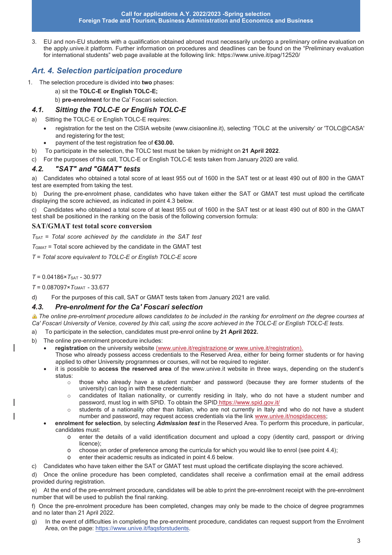3. EU and non-EU students with a qualification obtained abroad must necessarily undergo a preliminary online evaluation on the apply.unive.it platform. Further information on procedures and deadlines can be found on the "Preliminary evaluation for international students" web page available at the following link: https://www.unive.it/pag/12520/

## *Art. 4. Selection participation procedure*

- 1. The selection procedure is divided into **two** phases:
	- a) sit the **TOLC-E or English TOLC-E;**
	- b) **pre-enrolment** for the Ca' Foscari selection.

#### *4.1. Sitting the TOLC-E or English TOLC-E*

- a) Sitting the TOLC-E or English TOLC-E requires:
	- · registration for the test on the CISIA website (www.cisiaonline.it), selecting 'TOLC at the university' or 'TOLC@CASA' and registering for the test;
	- payment of the test registration fee of €30.00.
- b) To participate in the selection, the TOLC test must be taken by midnight on **21 April 2022**.
- c) For the purposes of this call, TOLC-E or English TOLC-E tests taken from January 2020 are valid.

#### *4.2. "SAT" and "GMAT" tests*

a) Candidates who obtained a total score of at least 955 out of 1600 in the SAT test or at least 490 out of 800 in the GMAT test are exempted from taking the test.

b) During the pre-enrolment phase, candidates who have taken either the SAT or GMAT test must upload the certificate displaying the score achieved, as indicated in point 4.3 below.

c) Candidates who obtained a total score of at least 955 out of 1600 in the SAT test or at least 490 out of 800 in the GMAT test shall be positioned in the ranking on the basis of the following conversion formula:

#### **SAT/GMAT test total score conversion**

*T*SAT = *Total score achieved by the candidate in the SAT test* 

*T*GMAT = Total score achieved by the candidate in the GMAT test

*T* = *Total score equivalent to TOLC-E or English TOLC-E score* 

*T* = 0.04186×*T*SAT - 30.977

*T* = 0.087097×*T*GMAT - 33.677

d) For the purposes of this call, SAT or GMAT tests taken from January 2021 are valid.

#### *4.3. Pre-enrolment for the Ca' Foscari selection*

**A** The online pre-enrolment procedure allows candidates to be included in the ranking for enrolment on the degree courses at *Ca' Foscari University of Venice, covered by this call, using the score achieved in the TOLC-E or English TOLC-E tests.* 

- a) To participate in the selection, candidates must pre-enrol online by **21 April 2022.**
- b) The online pre-enrolment procedure includes:
	- · **registration** on the university website (www.unive.it/registrazione or www.unive.it/registration).
	- Those who already possess access credentials to the Reserved Area, either for being former students or for having applied to other University programmes or courses, will not be required to register.
	- · it is possible to **access the reserved area** of the www.unive.it website in three ways, depending on the student's status:
		- o those who already have a student number and password (because they are former students of the university) can log in with these credentials;
		- o candidates of Italian nationality, or currently residing in Italy, who do not have a student number and password, must log in with SPID. To obtain the SPID https://www.spid.gov.it/
		- o students of a nationality other than Italian, who are not currently in Italy and who do not have a student number and password, may request access credentials via the link www.unive.it/nospidaccess;
	- · **enrolment for selection**, by selecting *Admission test* in the Reserved Area. To perform this procedure, in particular, candidates must:
		- o enter the details of a valid identification document and upload a copy (identity card, passport or driving licence);
		- o choose an order of preference among the curricula for which you would like to enrol (see point 4.4);
		- enter their academic results as indicated in point 4.6 below.

c) Candidates who have taken either the SAT or GMAT test must upload the certificate displaying the score achieved.

d) Once the online procedure has been completed, candidates shall receive a confirmation email at the email address provided during registration.

e) At the end of the pre-enrolment procedure, candidates will be able to print the pre-enrolment receipt with the pre-enrolment number that will be used to publish the final ranking.

f) Once the pre-enrolment procedure has been completed, changes may only be made to the choice of degree programmes and no later than 21 April 2022.

g) In the event of difficulties in completing the pre-enrolment procedure, candidates can request support from the Enrolment Area, on the page: https://www.unive.it/faqsforstudents.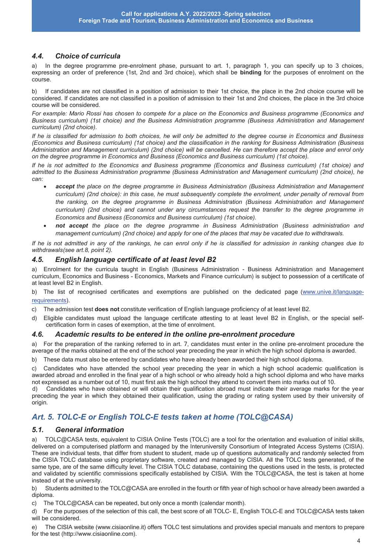#### *4.4. Choice of curricula*

a) In the degree programme pre-enrolment phase, pursuant to art. 1, paragraph 1, you can specify up to 3 choices, expressing an order of preference (1st, 2nd and 3rd choice), which shall be **binding** for the purposes of enrolment on the course.

b) If candidates are not classified in a position of admission to their 1st choice, the place in the 2nd choice course will be considered. If candidates are not classified in a position of admission to their 1st and 2nd choices, the place in the 3rd choice course will be considered.

*For example: Mario Rossi has chosen to compete for a place on the Economics and Business programme (Economics and Business curriculum) (1st choice) and the Business Administration programme (Business Administration and Management curriculum) (2nd choice).* 

*If he is classified for admission to both choices, he will only be admitted to the degree course in Economics and Business (Economics and Business curriculum) (1st choice) and the classification in the ranking for Business Administration (Business Administration and Management curriculum) (2nd choice) will be cancelled. He can therefore accept the place and enrol only on the degree programme in Economics and Business (Economics and Business curriculum) (1st choice).* 

*If he is not admitted to the Economics and Business programme (Economics and Business curriculum) (1st choice) and admitted to the Business Administration programme (Business Administration and Management curriculum) (2nd choice), he can:* 

- · *accept the place on the degree programme in Business Administration (Business Administration and Management curriculum) (2nd choice): in this case, he must subsequently complete the enrolment, under penalty of removal from the ranking, on the degree programme in Business Administration (Business Administration and Management curriculum) (2nd choice) and cannot under any circumstances request the transfer to the degree programme in Economics and Business (Economics and Business curriculum) (1st choice).*
- · *not accept the place on the degree programme in Business Administration (Business administration and management curriculum) (2nd choice) and apply for one of the places that may be vacated due to withdrawals.*

*If he is not admitted in any of the rankings, he can enrol only if he is classified for admission in ranking changes due to withdrawals (see art.8, point 2).* 

#### *4.5. English language certificate of at least level B2*

a) Enrolment for the curricula taught in English (Business Administration - Business Administration and Management curriculum, Economics and Business - Economics, Markets and Finance curriculum) is subject to possession of a certificate of at least level B2 in English.

b) The list of recognised certificates and exemptions are published on the dedicated page (www.unive.it/languagerequirements).

- c) The admission test **does not** constitute verification of English language proficiency of at least level B2.
- d) Eligible candidates must upload the language certificate attesting to at least level B2 in English, or the special selfcertification form in cases of exemption, at the time of enrolment.

#### *4.6. Academic results to be entered in the online pre-enrolment procedure*

a) For the preparation of the ranking referred to in art. 7, candidates must enter in the online pre-enrolment procedure the average of the marks obtained at the end of the school year preceding the year in which the high school diploma is awarded.

b) These data must also be entered by candidates who have already been awarded their high school diploma.

c) Candidates who have attended the school year preceding the year in which a high school academic qualification is awarded abroad and enrolled in the final year of a high school or who already hold a high school diploma and who have marks not expressed as a number out of 10, must first ask the high school they attend to convert them into marks out of 10.

d) Candidates who have obtained or will obtain their qualification abroad must indicate their average marks for the year preceding the year in which they obtained their qualification, using the grading or rating system used by their university of origin.

## *Art. 5. TOLC-E or English TOLC-E tests taken at home (TOLC@CASA)*

#### *5.1. General information*

a) TOLC@CASA tests, equivalent to CISIA Online Tests (TOLC) are a tool for the orientation and evaluation of initial skills, delivered on a computerised platform and managed by the Interuniversity Consortium of Integrated Access Systems (CISIA). These are individual tests, that differ from student to student, made up of questions automatically and randomly selected from the CISIA TOLC database using proprietary software, created and managed by CISIA. All the TOLC tests generated, of the same type, are of the same difficulty level. The CISIA TOLC database, containing the questions used in the tests, is protected and validated by scientific commissions specifically established by CISIA. With the TOLC@CASA, the test is taken at home instead of at the university.

b) Students admitted to the TOLC@CASA are enrolled in the fourth or fifth year of high school or have already been awarded a diploma.

c) The TOLC@CASA can be repeated, but only once a month (calendar month).

d) For the purposes of the selection of this call, the best score of all TOLC- E, English TOLC-E and TOLC@CASA tests taken will be considered.

e) The CISIA website (www.cisiaonline.it) offers TOLC test simulations and provides special manuals and mentors to prepare for the test (http://www.cisiaonline.com).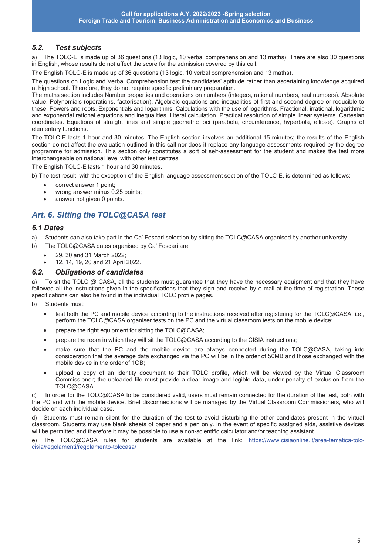#### *5.2. Test subjects*

a) The TOLC-E is made up of 36 questions (13 logic, 10 verbal comprehension and 13 maths). There are also 30 questions in English, whose results do not affect the score for the admission covered by this call.

The English TOLC-E is made up of 36 questions (13 logic, 10 verbal comprehension and 13 maths).

The questions on Logic and Verbal Comprehension test the candidates' aptitude rather than ascertaining knowledge acquired at high school. Therefore, they do not require specific preliminary preparation.

The maths section includes Number properties and operations on numbers (integers, rational numbers, real numbers). Absolute value. Polynomials (operations, factorisation). Algebraic equations and inequalities of first and second degree or reducible to these. Powers and roots. Exponentials and logarithms. Calculations with the use of logarithms. Fractional, irrational, logarithmic and exponential rational equations and inequalities. Literal calculation. Practical resolution of simple linear systems. Cartesian coordinates. Equations of straight lines and simple geometric loci (parabola, circumference, hyperbola, ellipse). Graphs of elementary functions.

The TOLC-E lasts 1 hour and 30 minutes. The English section involves an additional 15 minutes; the results of the English section do not affect the evaluation outlined in this call nor does it replace any language assessments required by the degree programme for admission. This section only constitutes a sort of self-assessment for the student and makes the test more interchangeable on national level with other test centres.

The English TOLC-E lasts 1 hour and 30 minutes.

b) The test result, with the exception of the English language assessment section of the TOLC-E, is determined as follows:

- correct answer 1 point;
- wrong answer minus 0.25 points;
- answer not given 0 points.

## *Art. 6. Sitting the TOLC@CASA test*

#### *6.1 Dates*

- a) Students can also take part in the Ca' Foscari selection by sitting the TOLC@CASA organised by another university.
- b) The TOLC@CASA dates organised by Ca' Foscari are:
	- · 29, 30 and 31 March 2022;
	- · 12, 14, 19, 20 and 21 April 2022.

#### *6.2. Obligations of candidates*

a) To sit the TOLC @ CASA, all the students must guarantee that they have the necessary equipment and that they have followed all the instructions given in the specifications that they sign and receive by e-mail at the time of registration. These specifications can also be found in the individual TOLC profile pages.

- b) Students must:
	- test both the PC and mobile device according to the instructions received after registering for the TOLC@CASA, i.e., perform the TOLC@CASA organiser tests on the PC and the virtual classroom tests on the mobile device;
	- prepare the right equipment for sitting the  $\text{TOLC}$ @CASA;
	- prepare the room in which they will sit the TOLC@CASA according to the CISIA instructions;
	- make sure that the PC and the mobile device are always connected during the TOLC@CASA, taking into consideration that the average data exchanged via the PC will be in the order of 50MB and those exchanged with the mobile device in the order of 1GB;
	- · upload a copy of an identity document to their TOLC profile, which will be viewed by the Virtual Classroom Commissioner; the uploaded file must provide a clear image and legible data, under penalty of exclusion from the TOLC@CASA.

c) In order for the TOLC@CASA to be considered valid, users must remain connected for the duration of the test, both with the PC and with the mobile device. Brief disconnections will be managed by the Virtual Classroom Commissioners, who will decide on each individual case.

d) Students must remain silent for the duration of the test to avoid disturbing the other candidates present in the virtual classroom. Students may use blank sheets of paper and a pen only. In the event of specific assigned aids, assistive devices will be permitted and therefore it may be possible to use a non-scientific calculator and/or teaching assistant.

e) The TOLC@CASA rules for students are available at the link: https://www.cisiaonline.it/area-tematica-tolccisia/regolamenti/regolamento-tolccasa/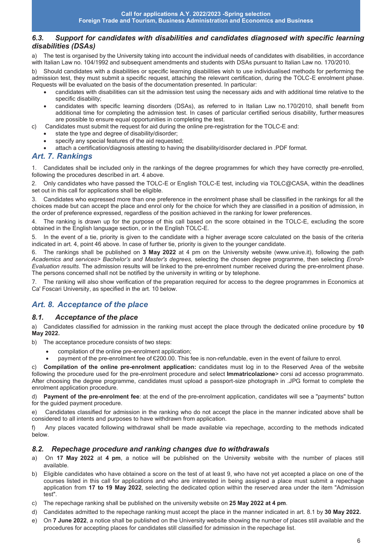#### *6.3. Support for candidates with disabilities and candidates diagnosed with specific learning disabilities (DSAs)*

a) The test is organised by the University taking into account the individual needs of candidates with disabilities, in accordance with Italian Law no. 104/1992 and subsequent amendments and students with DSAs pursuant to Italian Law no. 170/2010.

b) Should candidates with a disabilities or specific learning disabilities wish to use individualised methods for performing the admission test, they must submit a specific request, attaching the relevant certification, during the TOLC-E enrolment phase. Requests will be evaluated on the basis of the documentation presented. In particular:

- · candidates with disabilities can sit the admission test using the necessary aids and with additional time relative to the specific disability;
- candidates with specific learning disorders (DSAs), as referred to in Italian Law no.170/2010, shall benefit from additional time for completing the admission test. In cases of particular certified serious disability, further measures are possible to ensure equal opportunities in completing the test.
- c) Candidates must submit the request for aid during the online pre-registration for the TOLC-E and:
	- state the type and degree of disability/disorder:
	- specify any special features of the aid requested;
	- · attach a certification/diagnosis attesting to having the disability/disorder declared in .PDF format.

#### *Art. 7. Rankings*

1. Candidates shall be included only in the rankings of the degree programmes for which they have correctly pre-enrolled, following the procedures described in art. 4 above.

2. Only candidates who have passed the TOLC-E or English TOLC-E test, including via TOLC@CASA, within the deadlines set out in this call for applications shall be eligible.

3. Candidates who expressed more than one preference in the enrolment phase shall be classified in the rankings for all the choices made but can accept the place and enrol only for the choice for which they are classified in a position of admission, in the order of preference expressed, regardless of the position achieved in the ranking for lower preferences.

The ranking is drawn up for the purpose of this call based on the score obtained in the TOLC-E, excluding the score obtained in the English language section, or in the English TOLC-E.

5. In the event of a tie, priority is given to the candidate with a higher average score calculated on the basis of the criteria indicated in art. 4, point 46 above. In case of further tie, priority is given to the younger candidate.

6. The rankings shall be published on **3 May 2022** at 4 pm on the University website (www.unive.it), following the path *Academics and services> Bachelor's and Master's degrees,* selecting the chosen degree programme, then selecting *Enrol*> *Evaluation results*. The admission results will be linked to the pre-enrolment number received during the pre-enrolment phase. The persons concerned shall not be notified by the university in writing or by telephone.

7. The ranking will also show verification of the preparation required for access to the degree programmes in Economics at Ca' Foscari University, as specified in the art. 10 below.

## *Art. 8. Acceptance of the place*

#### *8.1. Acceptance of the place*

a) Candidates classified for admission in the ranking must accept the place through the dedicated online procedure by **10 May 2022.** 

b) The acceptance procedure consists of two steps:

- compilation of the online pre-enrolment application;
- payment of the pre-enrolment fee of €200.00. This fee is non-refundable, even in the event of failure to enrol.

c) **Compilation of the online pre-enrolment application:** candidates must log in to the Reserved Area of the website following the procedure used for the pre-enrolment procedure and select **Immatricolazione**> corsi ad accesso programmato. After choosing the degree programme, candidates must upload a passport-size photograph in .JPG format to complete the enrolment application procedure.

d) **Payment of the pre-enrolment fee**: at the end of the pre-enrolment application, candidates will see a "payments" button for the guided payment procedure.

e) Candidates classified for admission in the ranking who do not accept the place in the manner indicated above shall be considered to all intents and purposes to have withdrawn from application.

f) Any places vacated following withdrawal shall be made available via repechage, according to the methods indicated below.

#### *8.2. Repechage procedure and ranking changes due to withdrawals*

- a) On **17 May 2022** at **4 pm**, a notice will be published on the University website with the number of places still available.
- b) Eligible candidates who have obtained a score on the test of at least 9, who have not yet accepted a place on one of the courses listed in this call for applications and who are interested in being assigned a place must submit a repechage application from **17 to 19 May 2022**, selecting the dedicated option within the reserved area under the item "Admission test".
- c) The repechage ranking shall be published on the university website on **25 May 2022 at 4 pm**.
- d) Candidates admitted to the repechage ranking must accept the place in the manner indicated in art. 8.1 by **30 May 2022.**
- e) On **7 June 2022**, a notice shall be published on the University website showing the number of places still available and the procedures for accepting places for candidates still classified for admission in the repechage list.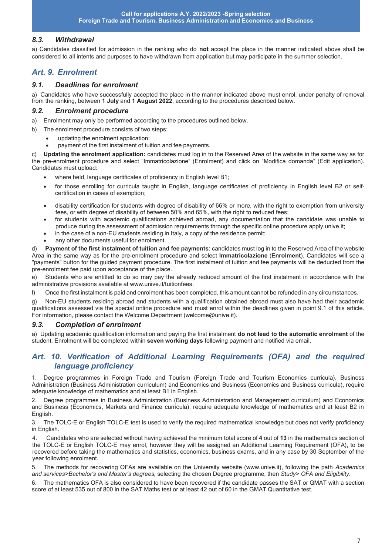#### *8.3. Withdrawal*

a) Candidates classified for admission in the ranking who do **not** accept the place in the manner indicated above shall be considered to all intents and purposes to have withdrawn from application but may participate in the summer selection.

### *Art. 9. Enrolment*

#### *9.1. Deadlines for enrolment*

a) Candidates who have successfully accepted the place in the manner indicated above must enrol, under penalty of removal from the ranking, between **1 July** and **1 August 2022**, according to the procedures described below.

#### *9.2. Enrolment procedure*

- a) Enrolment may only be performed according to the procedures outlined below.
- b) The enrolment procedure consists of two steps:
	- · updating the enrolment application;
	- payment of the first instalment of tuition and fee payments.

c) **Updating the enrolment application:** candidates must log in to the Reserved Area of the website in the same way as for the pre-enrolment procedure and select "Immatricolazione" (Enrolment) and click on "Modifica domanda" (Edit application). Candidates must upload:

- · where held, language certificates of proficiency in English level B1;
- for those enrolling for curricula taught in English, language certificates of proficiency in English level B2 or selfcertification in cases of exemption;
- disability certification for students with degree of disability of 66% or more, with the right to exemption from university fees, or with degree of disability of between 50% and 65%, with the right to reduced fees;
- · for students with academic qualifications achieved abroad, any documentation that the candidate was unable to produce during the assessment of admission requirements through the specific online procedure apply.unive.it;
- in the case of a non-EU students residing in Italy, a copy of the residence permit:
- any other documents useful for enrolment.

d) **Payment of the first instalment of tuition and fee payments**: candidates must log in to the Reserved Area of the website Area in the same way as for the pre-enrolment procedure and select **Immatricolazione** (**Enrolment**). Candidates will see a "payments" button for the guided payment procedure. The first instalment of tuition and fee payments will be deducted from the pre-enrolment fee paid upon acceptance of the place.

e) Students who are entitled to do so may pay the already reduced amount of the first instalment in accordance with the administrative provisions available at www.unive.it/tuitionfees.

f) Once the first instalment is paid and enrolment has been completed, this amount cannot be refunded in any circumstances.

g) Non-EU students residing abroad and students with a qualification obtained abroad must also have had their academic qualifications assessed via the special online procedure and must enrol within the deadlines given in point 9.1 of this article. For information, please contact the Welcome Department (welcome@unive.it).

#### *9.3. Completion of enrolment*

a) Updating academic qualification information and paying the first instalment **do not lead to the automatic enrolment** of the student. Enrolment will be completed within **seven working days** following payment and notified via email.

#### *Art. 10. Verification of Additional Learning Requirements (OFA) and the required language proficiency*

1. Degree programmes in Foreign Trade and Tourism (Foreign Trade and Tourism Economics curricula), Business Administration (Business Administration curriculum) and Economics and Business (Economics and Business curricula), require adequate knowledge of mathematics and at least B1 in English.

2. Degree programmes in Business Administration (Business Administration and Management curriculum) and Economics and Business (Economics, Markets and Finance curricula), require adequate knowledge of mathematics and at least B2 in English.

3. The TOLC-E or English TOLC-E test is used to verify the required mathematical knowledge but does not verify proficiency in English.

4. Candidates who are selected without having achieved the minimum total score of **4** out of **13** in the mathematics section of the TOLC-E or English TOLC-E may enrol, however they will be assigned an Additional Learning Requirement (OFA), to be recovered before taking the mathematics and statistics, economics, business exams, and in any case by 30 September of the year following enrolment.

5. The methods for recovering OFAs are available on the University website (www.unive.it), following the path *Academics and services>Bachelor's and Master's degrees,* selecting the chosen Degree programme, then *Study*> *OFA and Eligibility.* 

The mathematics OFA is also considered to have been recovered if the candidate passes the SAT or GMAT with a section score of at least 535 out of 800 in the SAT Maths test or at least 42 out of 60 in the GMAT Quantitative test*.*